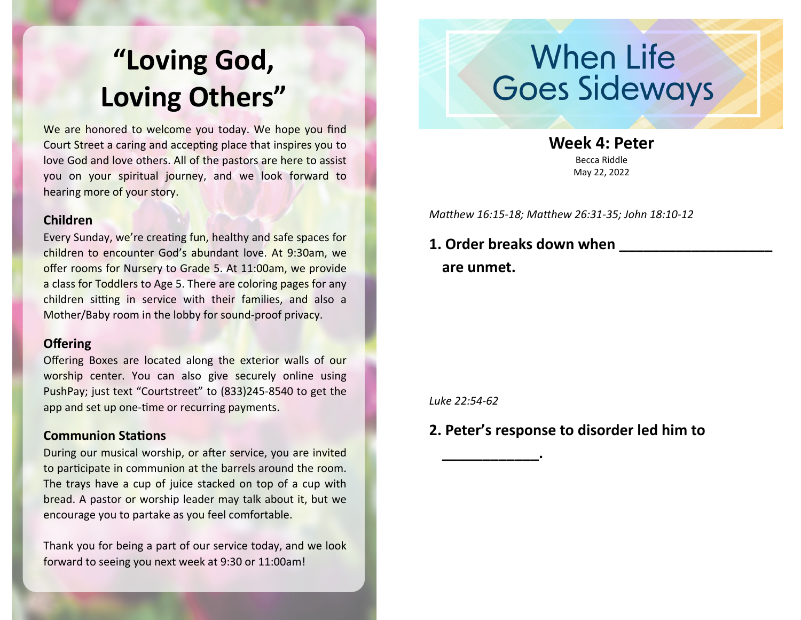### WELCOME PAGE INSTRUCTIONS **"Loving God, Loving Others"**

We are honored to welcome you today. We hope you find Court Street a caring and accepting place that inspires you to love God and love others. All of the pastors are here to assist you on your spiritual journey, and we look forward to hearing more of your story.

#### **Children**

Every Sunday, we're creating fun, healthy and safe spaces for children to encounter God's abundant love. At 9:30am, we offer rooms for Nursery to Grade 5. At 11:00am, we provide a class for Toddlers to Age 5. There are coloring pages for any children sitting in service with their families, and also a Mother/Baby room in the lobby for sound-proof privacy.

#### **Offering**

Offering Boxes are located along the exterior walls of our worship center. You can also give securely online using PushPay; just text "Courtstreet" to (833)245-8540 to get the app and set up one-time or recurring payments.

#### **Communion Stations**

During our musical worship, or after service, you are invited to participate in communion at the barrels around the room. The trays have a cup of juice stacked on top of a cup with bread. A pastor or worship leader may talk about it, but we encourage you to partake as you feel comfortable.

Thank you for being a part of our service today, and we look forward to seeing you next week at 9:30 or 11:00am!

# When Life<br>Goes Sideways

**Week 4: Peter**

Becca Riddle May 22, 2022

*Matthew 16:15-18; Matthew 26:31-35; John 18:10-12*

#### **1. Order breaks down when are unmet.**

*Luke 22:54-62*

**\_\_\_\_\_\_\_\_\_\_\_\_.**

#### **2. Peter's response to disorder led him to**